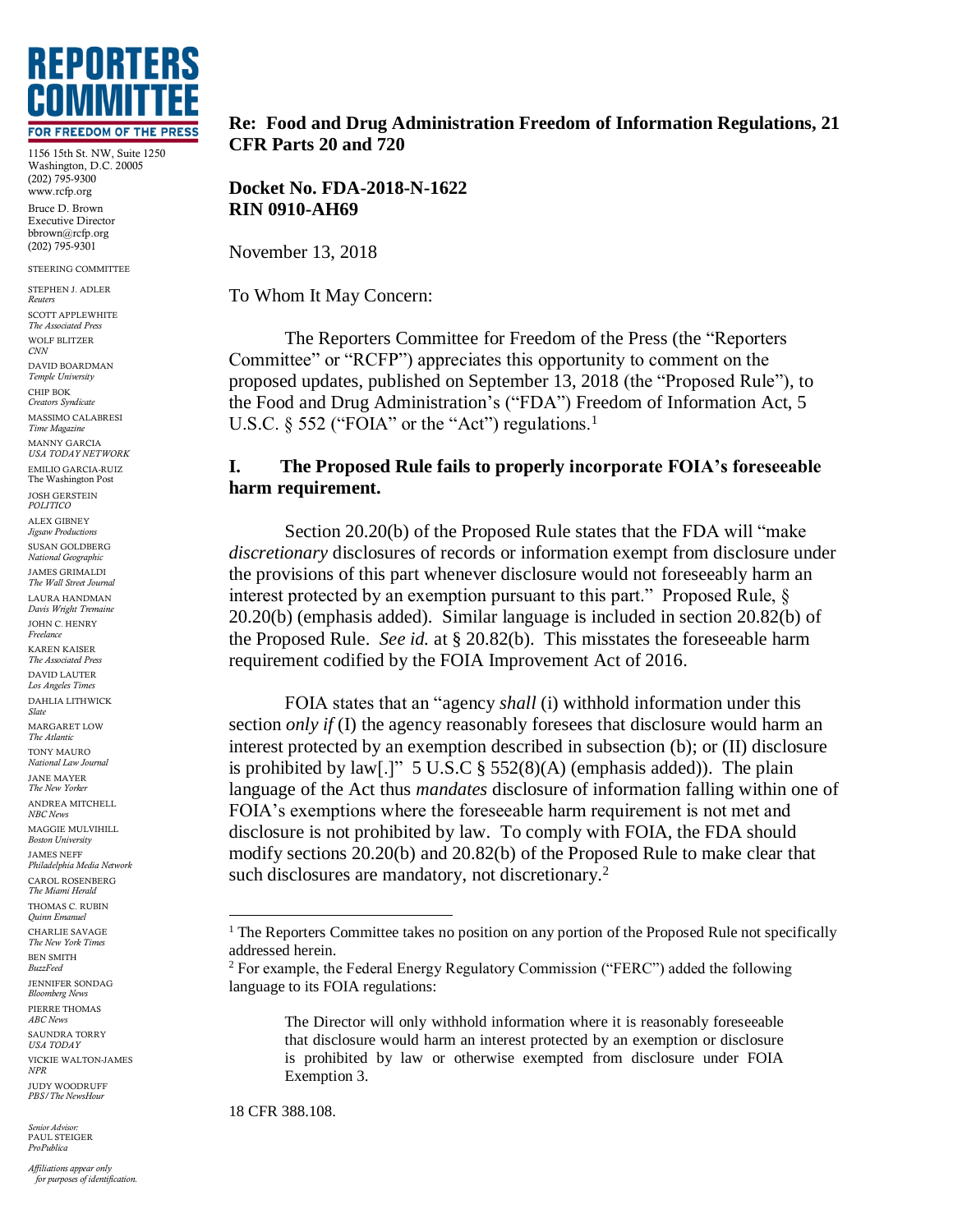

1156 15th St. NW, Suite 1250 Washington, D.C. 20005 (202) 795-9300 www.rcfp.org Bruce D. Brown Executive Director bbrown@rcfp.org (202) 795-9301

STEERING COMMITTEE

STEPHEN J. ADLER *Reuters* SCOTT APPLEWHITE *The Associated Press* WOLF BLITZER *CNN* DAVID BOARDMAN *Temple University* CHIP BOK *Creators Syndicate* MASSIMO CALABRESI *Time Magazine* MANNY GARCIA *USA TODAY NETWORK* EMILIO GARCIA-RUIZ The Washington Post JOSH GERSTEIN *POLITICO* ALEX GIBNEY *Jigsaw Productions* SUSAN GOLDBERG *National Geographic* JAMES GRIMALDI *The Wall Street Journal* LAURA HANDMAN *Davis Wright Tremaine* JOHN C. HENRY *Freelance* KAREN KAISER *The Associated Press* DAVID LAUTER *Los Angeles Times* DAHLIA LITHWICK *Slate* MARGARET LOW *The Atlantic* TONY MAURO *National Law Journal* JANE MAYER *The New Yorker* ANDREA MITCHELL *NBC News* MAGGIE MULVIHILL *Boston University* JAMES NEFF *Philadelphia Media Network* CAROL ROSENBERG *The Miami Herald* THOMAS C. RUBIN *Quinn Emanuel* CHARLIE SAVAGE *The New York Times* BEN SMITH *BuzzFeed* JENNIFER SONDAG *Bloomberg News* PIERRE THOMAS *ABC News* SAUNDRA TORRY *USA TODAY* VICKIE WALTON-JAMES *NPR* JUDY WOODRUFF *PBS/The NewsHour*

*Senior Advisor:* PAUL STEIGER *ProPublica*

*Affiliations appear only for purposes of identification.*

#### **Re: Food and Drug Administration Freedom of Information Regulations, 21 CFR Parts 20 and 720**

**Docket No. FDA-2018-N-1622 RIN 0910-AH69**

November 13, 2018

To Whom It May Concern:

The Reporters Committee for Freedom of the Press (the "Reporters Committee" or "RCFP") appreciates this opportunity to comment on the proposed updates, published on September 13, 2018 (the "Proposed Rule"), to the Food and Drug Administration's ("FDA") Freedom of Information Act, 5 U.S.C. § 552 ("FOIA" or the "Act") regulations.<sup>1</sup>

# **I. The Proposed Rule fails to properly incorporate FOIA's foreseeable harm requirement.**

Section 20.20(b) of the Proposed Rule states that the FDA will "make *discretionary* disclosures of records or information exempt from disclosure under the provisions of this part whenever disclosure would not foreseeably harm an interest protected by an exemption pursuant to this part." Proposed Rule, § 20.20(b) (emphasis added). Similar language is included in section 20.82(b) of the Proposed Rule. *See id.* at § 20.82(b). This misstates the foreseeable harm requirement codified by the FOIA Improvement Act of 2016.

FOIA states that an "agency *shall* (i) withhold information under this section *only if* (I) the agency reasonably foresees that disclosure would harm an interest protected by an exemption described in subsection (b); or (II) disclosure is prohibited by law[.]"  $5 \text{ U.S. C} \$  $552(8)(\text{A})$  (emphasis added)). The plain language of the Act thus *mandates* disclosure of information falling within one of FOIA's exemptions where the foreseeable harm requirement is not met and disclosure is not prohibited by law. To comply with FOIA, the FDA should modify sections 20.20(b) and 20.82(b) of the Proposed Rule to make clear that such disclosures are mandatory, not discretionary.<sup>2</sup>

The Director will only withhold information where it is reasonably foreseeable that disclosure would harm an interest protected by an exemption or disclosure is prohibited by law or otherwise exempted from disclosure under FOIA Exemption 3.

18 CFR 388.108.

 $\overline{a}$ 

<sup>&</sup>lt;sup>1</sup> The Reporters Committee takes no position on any portion of the Proposed Rule not specifically addressed herein.

<sup>2</sup> For example, the Federal Energy Regulatory Commission ("FERC") added the following language to its FOIA regulations: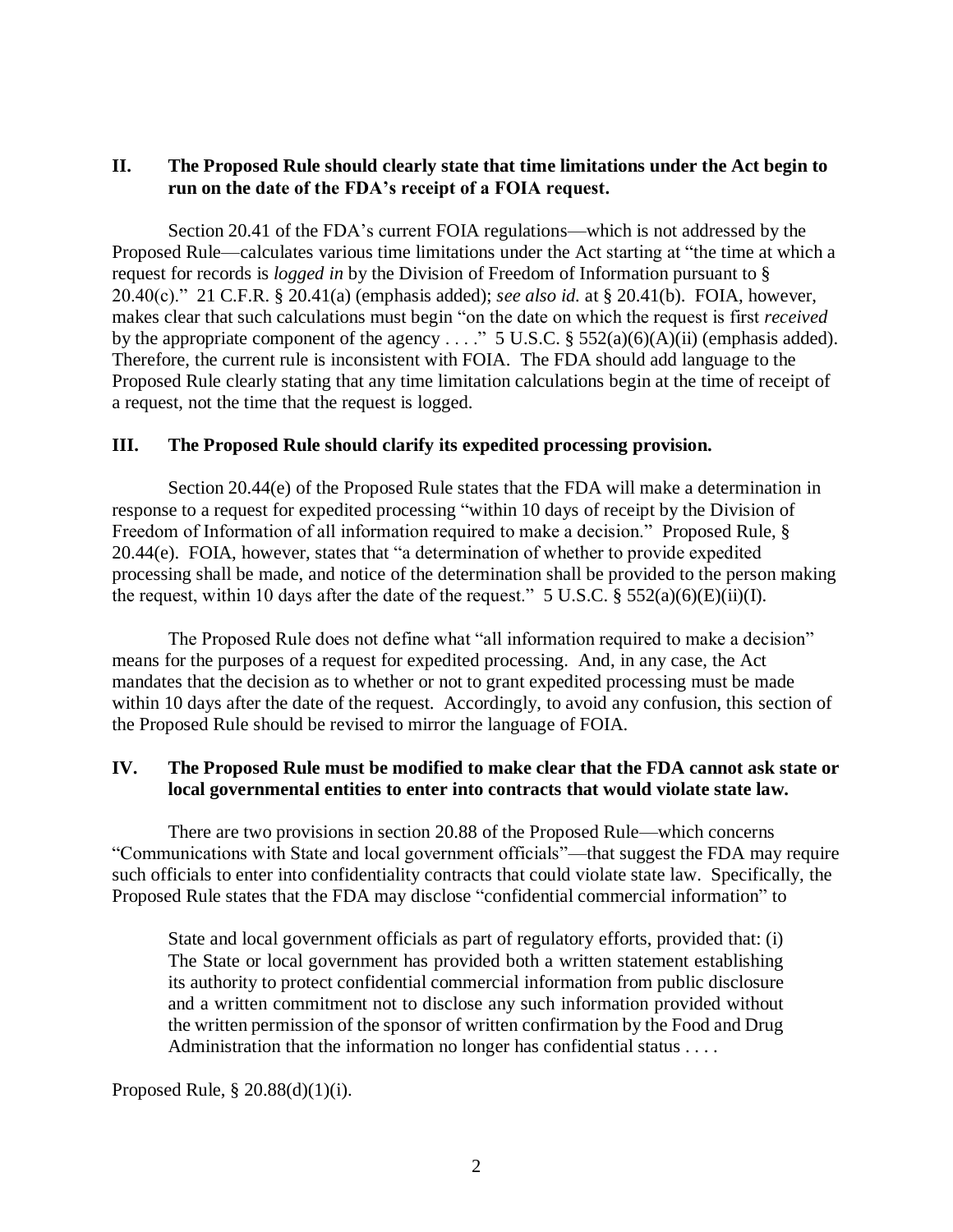# **II. The Proposed Rule should clearly state that time limitations under the Act begin to run on the date of the FDA's receipt of a FOIA request.**

Section 20.41 of the FDA's current FOIA regulations—which is not addressed by the Proposed Rule—calculates various time limitations under the Act starting at "the time at which a request for records is *logged in* by the Division of Freedom of Information pursuant to § 20.40(c)." 21 C.F.R. § 20.41(a) (emphasis added); *see also id.* at § 20.41(b). FOIA, however, makes clear that such calculations must begin "on the date on which the request is first *received* by the appropriate component of the agency . . . ." 5 U.S.C. § 552(a)(6)(A)(ii) (emphasis added). Therefore, the current rule is inconsistent with FOIA. The FDA should add language to the Proposed Rule clearly stating that any time limitation calculations begin at the time of receipt of a request, not the time that the request is logged.

### **III. The Proposed Rule should clarify its expedited processing provision.**

Section 20.44(e) of the Proposed Rule states that the FDA will make a determination in response to a request for expedited processing "within 10 days of receipt by the Division of Freedom of Information of all information required to make a decision." Proposed Rule, § 20.44(e). FOIA, however, states that "a determination of whether to provide expedited processing shall be made, and notice of the determination shall be provided to the person making the request, within 10 days after the date of the request." 5 U.S.C.  $\S$  552(a)(6)(E)(ii)(I).

The Proposed Rule does not define what "all information required to make a decision" means for the purposes of a request for expedited processing. And, in any case, the Act mandates that the decision as to whether or not to grant expedited processing must be made within 10 days after the date of the request. Accordingly, to avoid any confusion, this section of the Proposed Rule should be revised to mirror the language of FOIA.

## **IV. The Proposed Rule must be modified to make clear that the FDA cannot ask state or local governmental entities to enter into contracts that would violate state law.**

There are two provisions in section 20.88 of the Proposed Rule—which concerns "Communications with State and local government officials"—that suggest the FDA may require such officials to enter into confidentiality contracts that could violate state law. Specifically, the Proposed Rule states that the FDA may disclose "confidential commercial information" to

State and local government officials as part of regulatory efforts, provided that: (i) The State or local government has provided both a written statement establishing its authority to protect confidential commercial information from public disclosure and a written commitment not to disclose any such information provided without the written permission of the sponsor of written confirmation by the Food and Drug Administration that the information no longer has confidential status . . . .

### Proposed Rule, § 20.88(d)(1)(i).